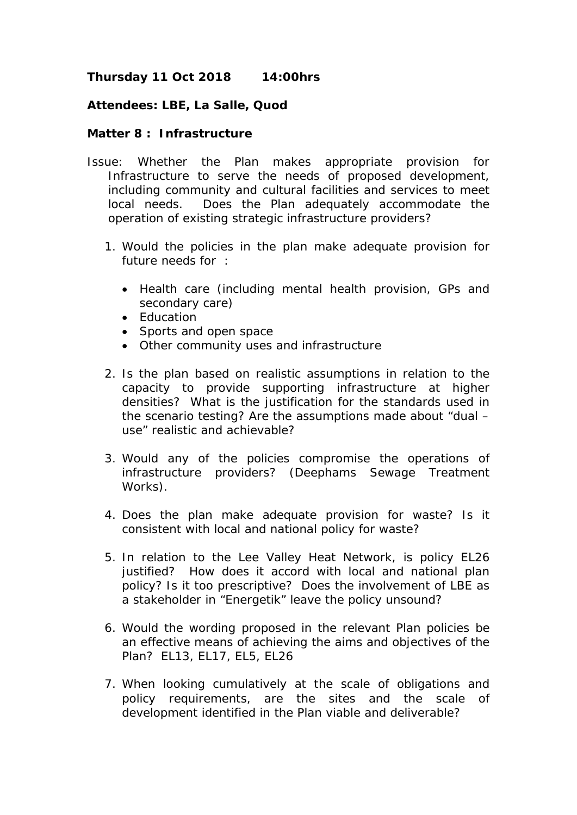## **Thursday 11 Oct 2018 14:00hrs**

## **Attendees: LBE, La Salle, Quod**

## **Matter 8 : Infrastructure**

- Issue: Whether the Plan makes appropriate provision for Infrastructure to serve the needs of proposed development, including community and cultural facilities and services to meet local needs. Does the Plan adequately accommodate the operation of existing strategic infrastructure providers?
	- 1. Would the policies in the plan make adequate provision for future needs for :
		- Health care (including mental health provision, GPs and secondary care)
		- Education
		- Sports and open space
		- Other community uses and infrastructure
	- 2. Is the plan based on realistic assumptions in relation to the capacity to provide supporting infrastructure at higher densities? What is the justification for the standards used in the scenario testing? Are the assumptions made about "dual – use" realistic and achievable?
	- 3. Would any of the policies compromise the operations of infrastructure providers? (Deephams Sewage Treatment Works).
	- 4. Does the plan make adequate provision for waste? Is it consistent with local and national policy for waste?
	- 5. In relation to the Lee Valley Heat Network, is policy EL26 justified? How does it accord with local and national plan policy? Is it too prescriptive? Does the involvement of LBE as a stakeholder in "Energetik" leave the policy unsound?
	- 6. Would the wording proposed in the relevant Plan policies be an effective means of achieving the aims and objectives of the Plan? EL13, EL17, EL5, EL26
	- 7. When looking cumulatively at the scale of obligations and policy requirements, are the sites and the scale of development identified in the Plan viable and deliverable?